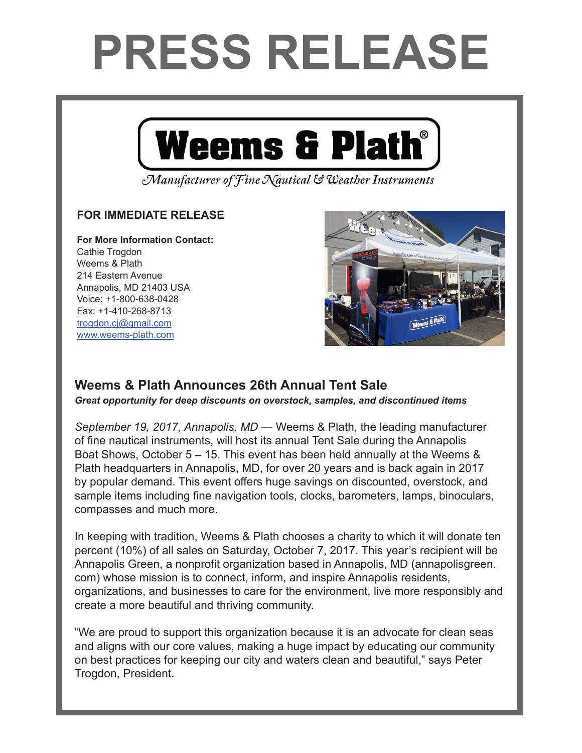## **PRESS RELEASE**



Manufacturer of Fine Nautical & Weather Instruments

## **FOR IMMEDIATE RELEASE**

**For More Information Contact:**  Cathie Trogdon Weems & Plath 214 Eastern Avenue Annapolis, MD 21403 USA Voice: +1-800-638-0428 Fax: +1-410-268-8713 trogdon.cj@gmail.com www.weems-plath.com



## **Weems & Plath Announces 26th Annual Tent Sale**

*Great opportunity for deep discounts on overstock, samples, and discontinued items*

*September 19, 2017, Annapolis, MD* — Weems & Plath, the leading manufacturer of fine nautical instruments, will host its annual Tent Sale during the Annapolis Boat Shows, October 5 – 15. This event has been held annually at the Weems & Plath headquarters in Annapolis, MD, for over 20 years and is back again in 2017 by popular demand. This event offers huge savings on discounted, overstock, and sample items including fine navigation tools, clocks, barometers, lamps, binoculars, compasses and much more.

In keeping with tradition, Weems & Plath chooses a charity to which it will donate ten percent (10%) of all sales on Saturday, October 7, 2017. This year's recipient will be Annapolis Green, a nonprofit organization based in Annapolis, MD (annapolisgreen. com) whose mission is to connect, inform, and inspire Annapolis residents, organizations, and businesses to care for the environment, live more responsibly and create a more beautiful and thriving community.

"We are proud to support this organization because it is an advocate for clean seas and aligns with our core values, making a huge impact by educating our community on best practices for keeping our city and waters clean and beautiful," says Peter Trogdon, President.